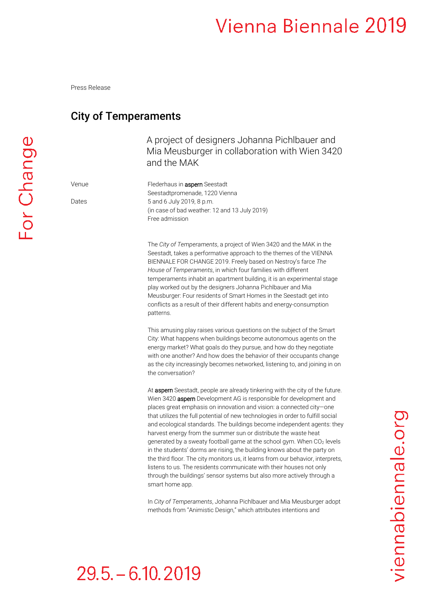# Vienna Biennale 2019

Press Release

### City of Temperaments

A project of designers Johanna Pichlbauer and Mia Meusburger in collaboration with Wien 3420 and the MAK

Seestadtpromenade, 1220 Vienna

Free admission

(in case of bad weather: 12 and 13 July 2019)

Venue Flederhaus in aspern Seestadt

Dates 5 and 6 July 2019, 8 p.m.

The *City of Temperaments*, a project of Wien 3420 and the MAK in the Seestadt, takes a performative approach to the themes of the VIENNA BIENNALE FOR CHANGE 2019. Freely based on Nestroy's farce *The House of Temperaments*, in which four families with different temperaments inhabit an apartment building, it is an experimental stage play worked out by the designers Johanna Pichlbauer and Mia Meusburger: Four residents of Smart Homes in the Seestadt get into conflicts as a result of their different habits and energy-consumption patterns.

This amusing play raises various questions on the subject of the Smart City: What happens when buildings become autonomous agents on the energy market? What goals do they pursue, and how do they negotiate with one another? And how does the behavior of their occupants change as the city increasingly becomes networked, listening to, and joining in on the conversation?

At aspern Seestadt, people are already tinkering with the city of the future. Wien 3420 **aspern** Development AG is responsible for development and places great emphasis on innovation and vision: a connected city—one that utilizes the full potential of new technologies in order to fulfill social and ecological standards. The buildings become independent agents: they harvest energy from the summer sun or distribute the waste heat generated by a sweaty football game at the school gym. When CO<sub>2</sub> levels in the students' dorms are rising, the building knows about the party on the third floor. The city monitors us, it learns from our behavior, interprets, listens to us. The residents communicate with their houses not only through the buildings' sensor systems but also more actively through a smart home app.

In *City of Temperaments*, Johanna Pichlbauer and Mia Meusburger adopt methods from "Animistic Design," which attributes intentions and

# $29.5 - 6.10.2019$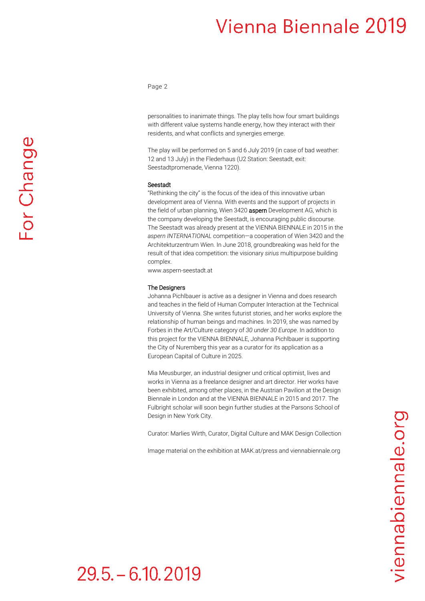### Vienna Biennale 2019

Page 2

personalities to inanimate things. The play tells how four smart buildings with different value systems handle energy, how they interact with their residents, and what conflicts and synergies emerge.

The play will be performed on 5 and 6 July 2019 (in case of bad weather: 12 and 13 July) in the Flederhaus (U2 Station: Seestadt, exit: Seestadtpromenade, Vienna 1220).

#### Seestadt

"Rethinking the city" is the focus of the idea of this innovative urban development area of Vienna. With events and the support of projects in the field of urban planning, Wien 3420 **aspern** Development AG, which is the company developing the Seestadt, is encouraging public discourse. The Seestadt was already present at the VIENNA BIENNALE in 2015 in the *aspern INTERNATIONAL* competition—a cooperation of Wien 3420 and the Architekturzentrum Wien. In June 2018, groundbreaking was held for the result of that idea competition: the visionary *sirius* multipurpose building complex.

www.aspern-seestadt.at

#### The Designers

Johanna Pichlbauer is active as a designer in Vienna and does research and teaches in the field of Human Computer Interaction at the Technical University of Vienna. She writes futurist stories, and her works explore the relationship of human beings and machines. In 2019, she was named by Forbes in the Art/Culture category of *30 under 30 Europe*. In addition to this project for the VIENNA BIENNALE, Johanna Pichlbauer is supporting the City of Nuremberg this year as a curator for its application as a European Capital of Culture in 2025.

Mia Meusburger, an industrial designer und critical optimist, lives and works in Vienna as a freelance designer and art director. Her works have been exhibited, among other places, in the Austrian Pavilion at the Design Biennale in London and at the VIENNA BIENNALE in 2015 and 2017. The Fulbright scholar will soon begin further studies at the Parsons School of Design in New York City.

Curator: Marlies Wirth, Curator, Digital Culture and MAK Design Collection

Image material on the exhibition at MAK.at/press and viennabiennale.org

# $29.5 - 6.10, 2019$